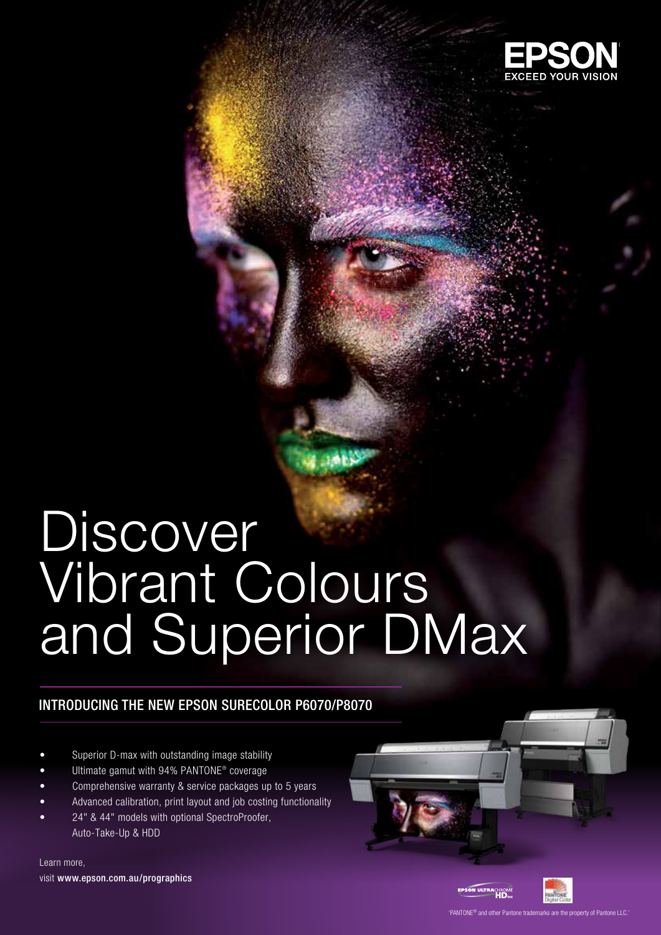

# Discover Vibrant Colours and Superior DMax

## INTRODUCING THE NEW EPSON SURECOLOR P6070/P8070

- Superior D-max with outstanding image stability
- Ultimate gamut with 94% PANTONE® coverage
- Comprehensive warranty & service packages up to 5 years
- Advanced calibration, print layout and job costing functionality
- 24" & 44" models with optional SpectroProofer, Auto-Take-Up & HDD

Learn more, visit www.epson.com.au/prographics





PANTONE® and other Pantone trademarks are the property of Pantone LLC.